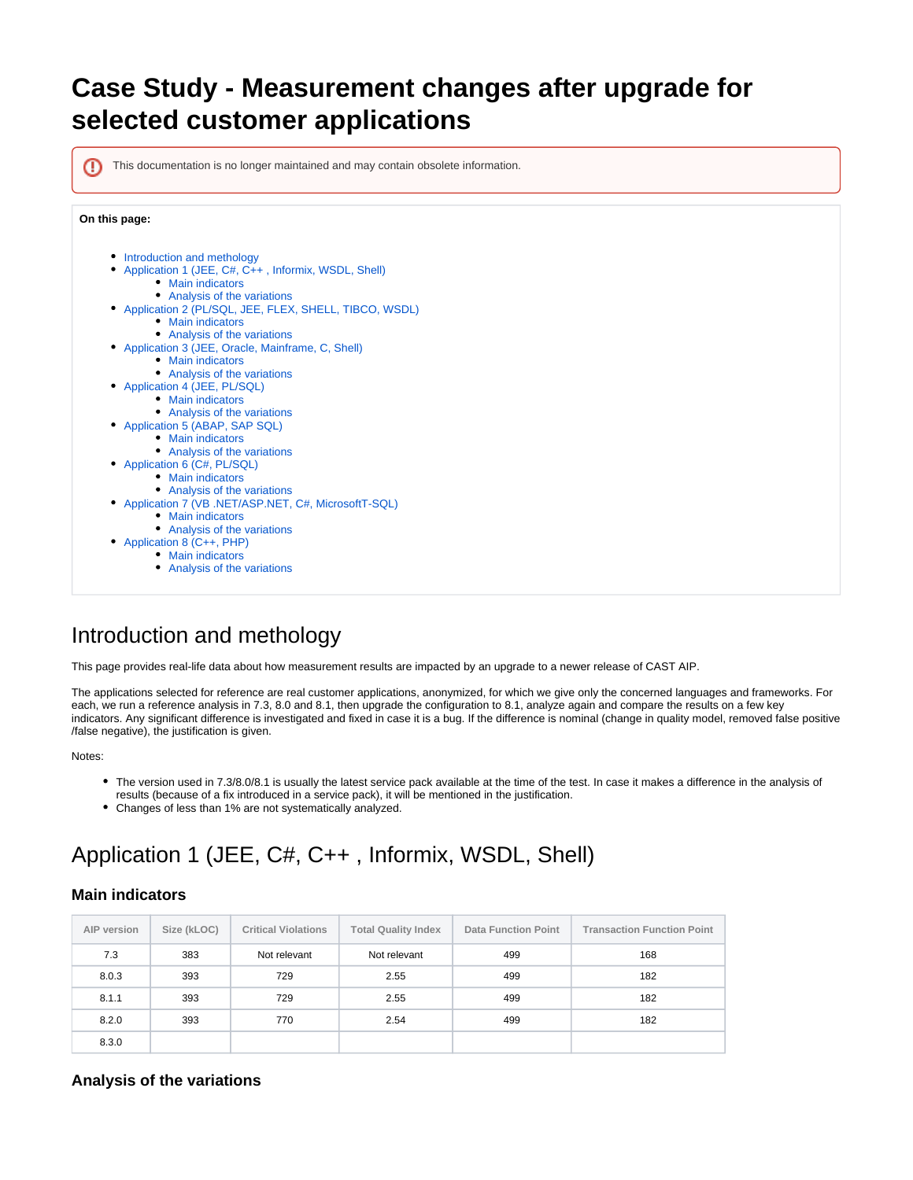## **Case Study - Measurement changes after upgrade for selected customer applications**

⊕

This documentation is no longer maintained and may contain obsolete information.

## **On this page:**



## <span id="page-0-0"></span>Introduction and methology

This page provides real-life data about how measurement results are impacted by an upgrade to a newer release of CAST AIP.

The applications selected for reference are real customer applications, anonymized, for which we give only the concerned languages and frameworks. For each, we run a reference analysis in 7.3, 8.0 and 8.1, then upgrade the configuration to 8.1, analyze again and compare the results on a few key indicators. Any significant difference is investigated and fixed in case it is a bug. If the difference is nominal (change in quality model, removed false positive /false negative), the justification is given.

Notes:

- The version used in 7.3/8.0/8.1 is usually the latest service pack available at the time of the test. In case it makes a difference in the analysis of results (because of a fix introduced in a service pack), it will be mentioned in the justification.
- Changes of less than 1% are not systematically analyzed.

## <span id="page-0-1"></span>Application 1 (JEE, C#, C++ , Informix, WSDL, Shell)

### <span id="page-0-2"></span>**Main indicators**

| AIP version | Size (kLOC) | <b>Critical Violations</b> | <b>Total Quality Index</b> | <b>Data Function Point</b> | <b>Transaction Function Point</b> |
|-------------|-------------|----------------------------|----------------------------|----------------------------|-----------------------------------|
| 7.3         | 383         | Not relevant               | Not relevant               | 499                        | 168                               |
| 8.0.3       | 393         | 729                        | 2.55                       | 499                        | 182                               |
| 8.1.1       | 393         | 729                        | 2.55                       | 499                        | 182                               |
| 8.2.0       | 393         | 770                        | 2.54                       | 499                        | 182                               |
| 8.3.0       |             |                            |                            |                            |                                   |

## <span id="page-0-3"></span>**Analysis of the variations**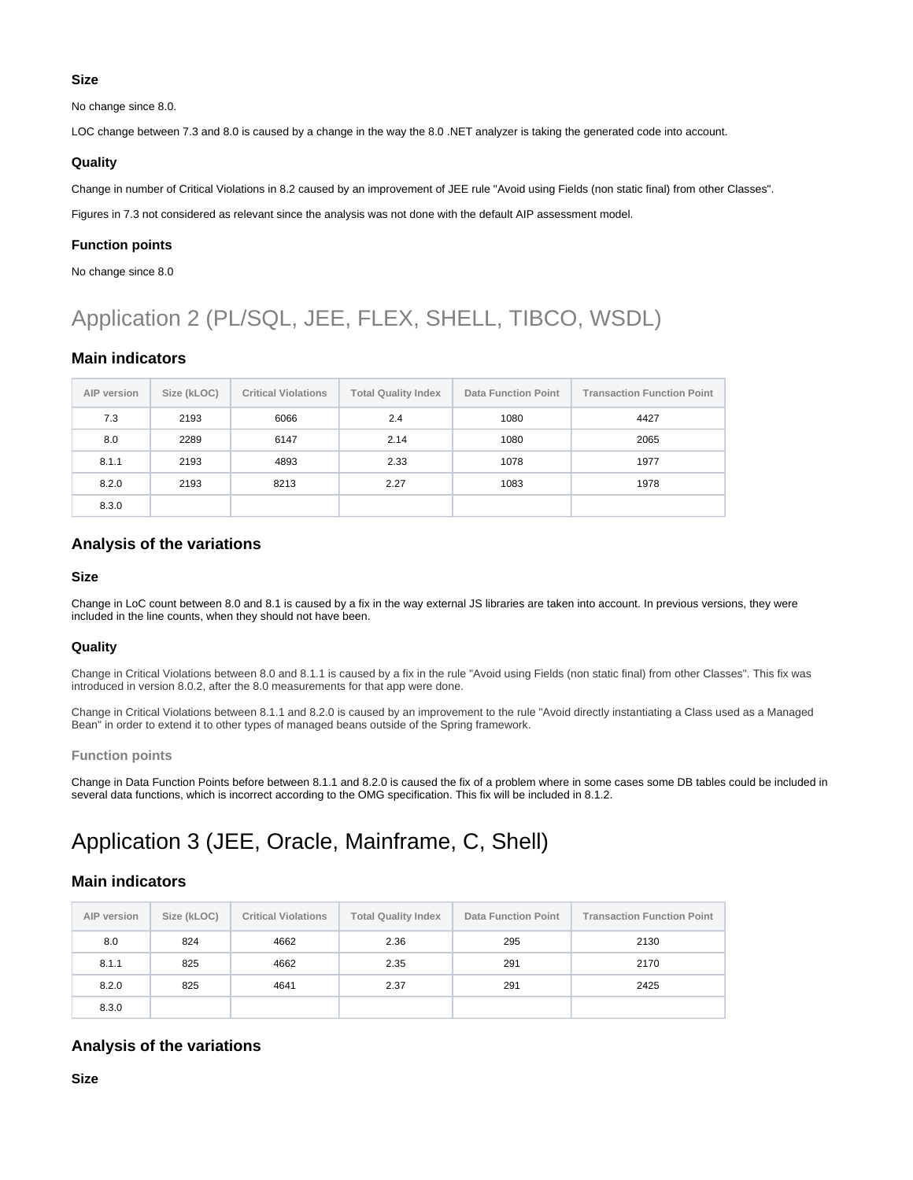#### **Size**

No change since 8.0.

LOC change between 7.3 and 8.0 is caused by a change in the way the 8.0 .NET analyzer is taking the generated code into account.

#### **Quality**

Change in number of Critical Violations in 8.2 caused by an improvement of JEE rule "Avoid using Fields (non static final) from other Classes".

Figures in 7.3 not considered as relevant since the analysis was not done with the default AIP assessment model.

#### **Function points**

No change since 8.0

## <span id="page-1-0"></span>Application 2 (PL/SQL, JEE, FLEX, SHELL, TIBCO, WSDL)

### <span id="page-1-1"></span>**Main indicators**

| AIP version | Size (kLOC) | <b>Critical Violations</b> | <b>Total Quality Index</b> | <b>Data Function Point</b> | <b>Transaction Function Point</b> |
|-------------|-------------|----------------------------|----------------------------|----------------------------|-----------------------------------|
| 7.3         | 2193        | 6066                       | 2.4                        | 1080                       | 4427                              |
| 8.0         | 2289        | 6147                       | 2.14                       | 1080                       | 2065                              |
| 8.1.1       | 2193        | 4893                       | 2.33                       | 1078                       | 1977                              |
| 8.2.0       | 2193        | 8213                       | 2.27                       | 1083                       | 1978                              |
| 8.3.0       |             |                            |                            |                            |                                   |

### <span id="page-1-2"></span>**Analysis of the variations**

#### **Size**

Change in LoC count between 8.0 and 8.1 is caused by a fix in the way external JS libraries are taken into account. In previous versions, they were included in the line counts, when they should not have been.

#### **Quality**

Change in Critical Violations between 8.0 and 8.1.1 is caused by a fix in the rule "Avoid using Fields (non static final) from other Classes". This fix was introduced in version 8.0.2, after the 8.0 measurements for that app were done.

Change in Critical Violations between 8.1.1 and 8.2.0 is caused by an improvement to the rule "Avoid directly instantiating a Class used as a Managed Bean" in order to extend it to other types of managed beans outside of the Spring framework.

#### **Function points**

Change in Data Function Points before between 8.1.1 and 8.2.0 is caused the fix of a problem where in some cases some DB tables could be included in several data functions, which is incorrect according to the OMG specification. This fix will be included in 8.1.2[.](https://jira.castsoftware.com/browse/SCRAIP-16339)

## <span id="page-1-3"></span>Application 3 (JEE, Oracle, Mainframe, C, Shell)

### <span id="page-1-4"></span>**Main indicators**

| AIP version | Size (kLOC) | <b>Critical Violations</b> | <b>Total Quality Index</b> | <b>Data Function Point</b> | <b>Transaction Function Point</b> |
|-------------|-------------|----------------------------|----------------------------|----------------------------|-----------------------------------|
| 8.0         | 824         | 4662                       | 2.36                       | 295                        | 2130                              |
| 8.1.1       | 825         | 4662                       | 2.35                       | 291                        | 2170                              |
| 8.2.0       | 825         | 4641                       | 2.37                       | 291                        | 2425                              |
| 8.3.0       |             |                            |                            |                            |                                   |

### <span id="page-1-5"></span>**Analysis of the variations**

**Size**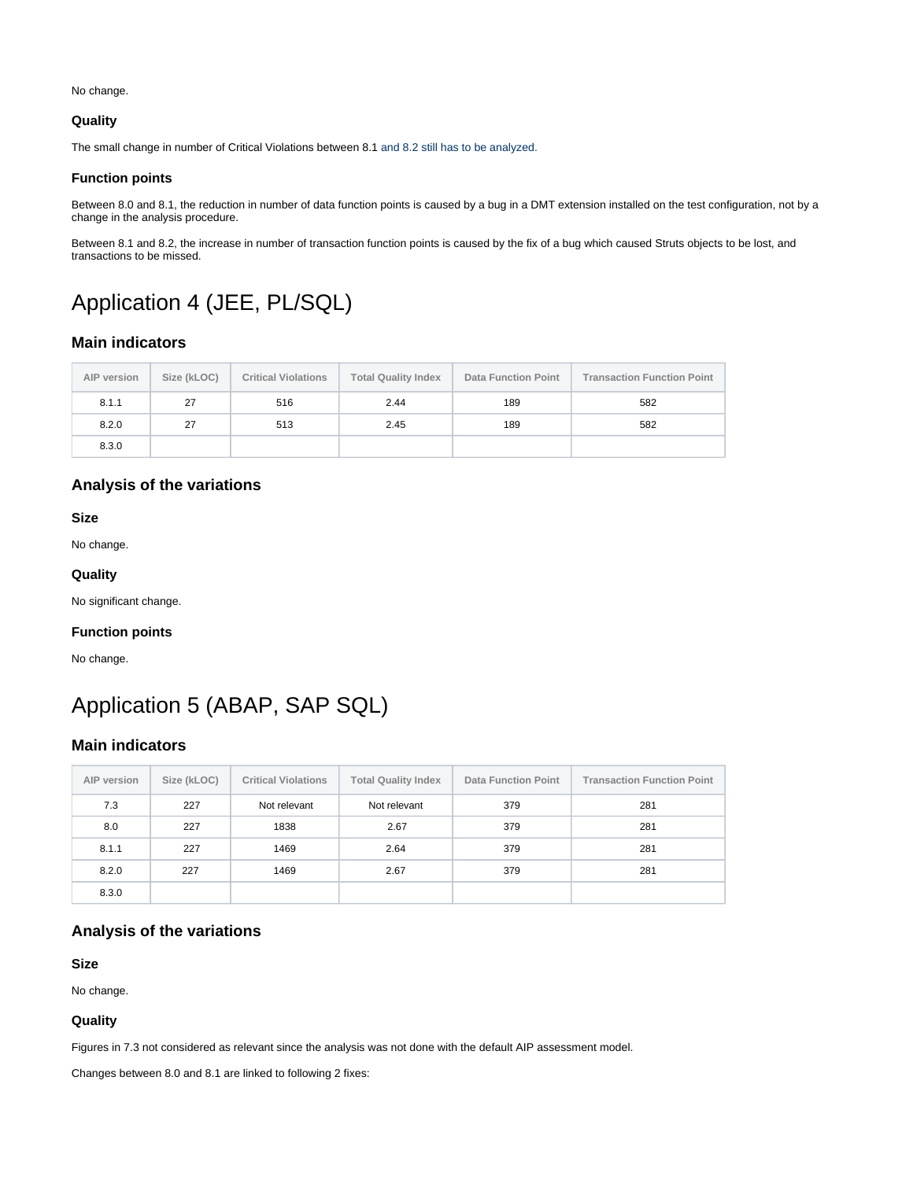No change.

#### **Quality**

The small change in number of Critical Violations between 8.1 and 8.2 still has to be analyzed.

#### **Function points**

Between 8.0 and 8.1, the reduction in number of data function points is caused by a bug in a DMT extension installed on the test configuration, not by a change in the analysis procedure.

Between 8.1 and 8.2, the increase in number of transaction function points is caused by the fix of a bug which caused Struts objects to be lost, and transactions to be missed.

## <span id="page-2-0"></span>Application 4 (JEE, PL/SQL)

### <span id="page-2-1"></span>**Main indicators**

| AIP version | Size (kLOC) | <b>Critical Violations</b> | <b>Total Quality Index</b> | <b>Data Function Point</b> | <b>Transaction Function Point</b> |
|-------------|-------------|----------------------------|----------------------------|----------------------------|-----------------------------------|
| 8.1.1       | 27          | 516                        | 2.44                       | 189                        | 582                               |
| 8.2.0       | 27          | 513                        | 2.45                       | 189                        | 582                               |
| 8.3.0       |             |                            |                            |                            |                                   |

## <span id="page-2-2"></span>**Analysis of the variations**

**Size**

No change.

#### **Quality**

No significant change.

#### **Function points**

No change.

## <span id="page-2-3"></span>Application 5 (ABAP, SAP SQL)

### <span id="page-2-4"></span>**Main indicators**

| AIP version | Size (kLOC) | <b>Critical Violations</b> | <b>Total Quality Index</b> | <b>Data Function Point</b> | <b>Transaction Function Point</b> |
|-------------|-------------|----------------------------|----------------------------|----------------------------|-----------------------------------|
| 7.3         | 227         | Not relevant               | Not relevant               | 379                        | 281                               |
| 8.0         | 227         | 1838                       | 2.67                       | 379                        | 281                               |
| 8.1.1       | 227         | 1469                       | 2.64                       | 379                        | 281                               |
| 8.2.0       | 227         | 1469                       | 2.67                       | 379                        | 281                               |
| 8.3.0       |             |                            |                            |                            |                                   |

## <span id="page-2-5"></span>**Analysis of the variations**

**Size**

No change.

#### **Quality**

Figures in 7.3 not considered as relevant since the analysis was not done with the default AIP assessment model.

Changes between 8.0 and 8.1 are linked to following 2 fixes: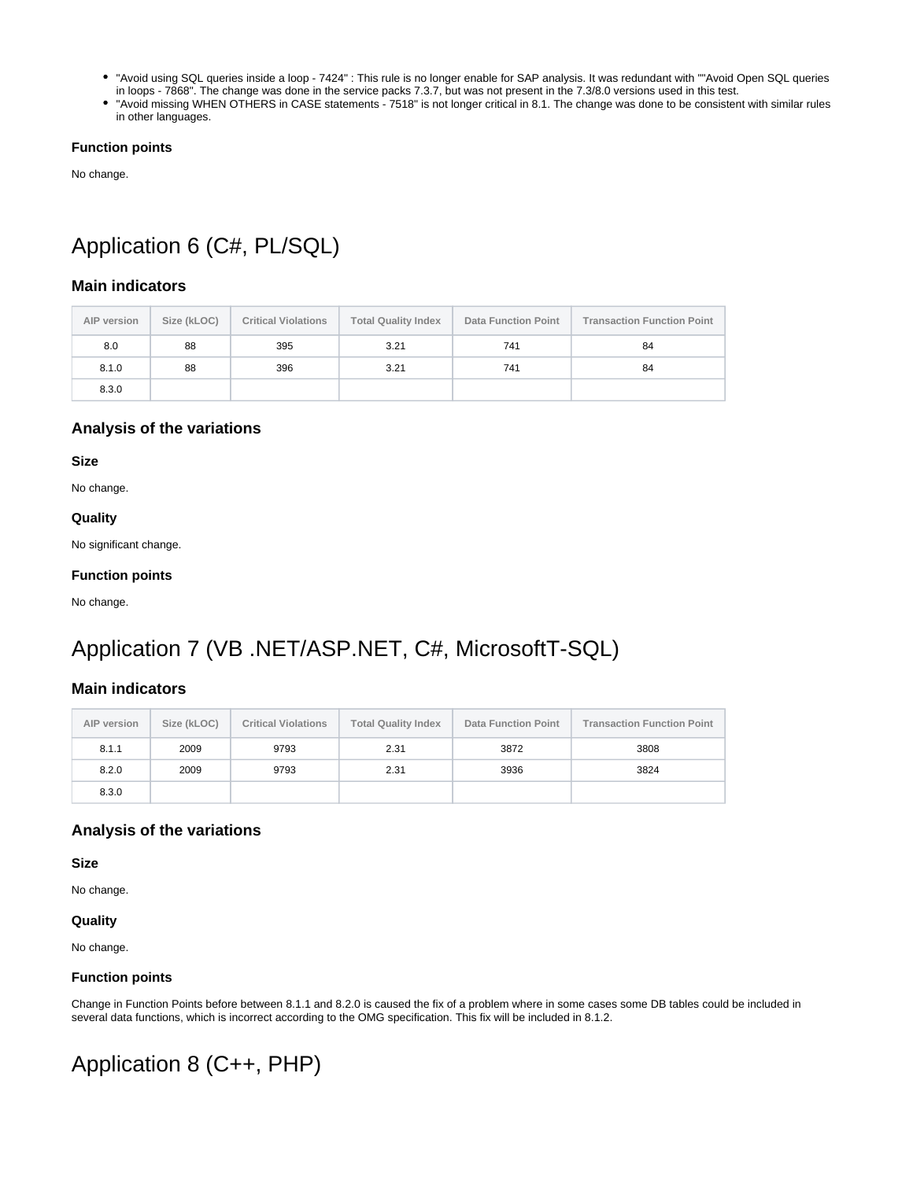- "Avoid using SQL queries inside a loop 7424" : This rule is no longer enable for SAP analysis. It was redundant with ""Avoid Open SQL queries in loops - 7868". The change was done in the service packs 7.3.7, but was not present in the 7.3/8.0 versions used in this test.
- "Avoid missing WHEN OTHERS in CASE statements 7518" is not longer critical in 8.1. The change was done to be consistent with similar rules in other languages.

#### **Function points**

No change.

# <span id="page-3-0"></span>Application 6 (C#, PL/SQL)

## <span id="page-3-1"></span>**Main indicators**

| AIP version | Size (kLOC) | <b>Critical Violations</b> | <b>Total Quality Index</b> | <b>Data Function Point</b> | <b>Transaction Function Point</b> |
|-------------|-------------|----------------------------|----------------------------|----------------------------|-----------------------------------|
| 8.0         | 88          | 395                        | 3.21                       | 741                        | 84                                |
| 8.1.0       | 88          | 396                        | 3.21                       | 741                        | 84                                |
| 8.3.0       |             |                            |                            |                            |                                   |

### <span id="page-3-2"></span>**Analysis of the variations**

**Size**

No change.

#### **Quality**

No significant change.

#### **Function points**

No change.

## <span id="page-3-3"></span>Application 7 (VB .NET/ASP.NET, C#, MicrosoftT-SQL)

## <span id="page-3-4"></span>**Main indicators**

| AIP version | Size (kLOC) | <b>Critical Violations</b> | <b>Total Quality Index</b> | <b>Data Function Point</b> | <b>Transaction Function Point</b> |
|-------------|-------------|----------------------------|----------------------------|----------------------------|-----------------------------------|
| 8.1.1       | 2009        | 9793                       | 2.31                       | 3872                       | 3808                              |
| 8.2.0       | 2009        | 9793                       | 2.31                       | 3936                       | 3824                              |
| 8.3.0       |             |                            |                            |                            |                                   |

### <span id="page-3-5"></span>**Analysis of the variations**

**Size**

No change.

#### **Quality**

No change.

#### **Function points**

Change in Function Points before between 8.1.1 and 8.2.0 is caused the fix of a problem where in some cases some DB tables could be included in several data functions, which is incorrect according to the OMG specification. This fix will be included in 8.1.2.

## <span id="page-3-7"></span><span id="page-3-6"></span>Application 8 (C++, PHP)